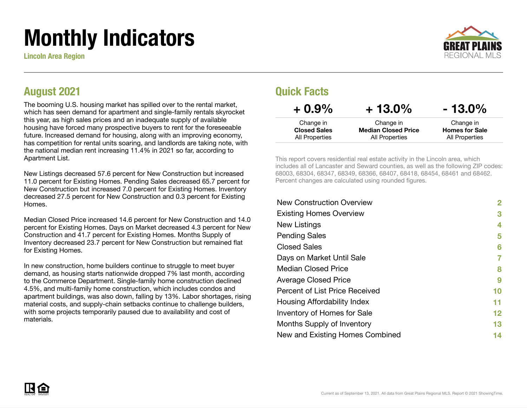# Monthly Indicators

Lincoln Area Region



#### August 2021

The booming U.S. housing market has spilled over to the rental market, which has seen demand for apartment and single-family rentals skyrocket this year, as high sales prices and an inadequate supply of available housing have forced many prospective buyers to rent for the foreseeable future. Increased demand for housing, along with an improving economy, has competition for rental units soaring, and landlords are taking note, with the national median rent increasing 11.4% in 2021 so far, according to Apartment List.

New Listings decreased 57.6 percent for New Construction but increased 11.0 percent for Existing Homes. Pending Sales decreased 65.7 percent for New Construction but increased 7.0 percent for Existing Homes. Inventory decreased 27.5 percent for New Construction and 0.3 percent for Existing Homes.

Median Closed Price increased 14.6 percent for New Construction and 14.0 percent for Existing Homes. Days on Market decreased 4.3 percent for New Construction and 41.7 percent for Existing Homes. Months Supply of Inventory decreased 23.7 percent for New Construction but remained flat for Existing Homes.

In new construction, home builders continue to struggle to meet buyer demand, as housing starts nationwide dropped 7% last month, according to the Commerce Department. Single-family home construction declined 4.5%, and multi-family home construction, which includes condos and apartment buildings, was also down, falling by 13%. Labor shortages, rising material costs, and supply-chain setbacks continue to challenge builders, with some projects temporarily paused due to availability and cost of materials.

#### Quick Facts

| $+0.9\%$            | $+13.0\%$                  | $-13.0\%$             |
|---------------------|----------------------------|-----------------------|
| Change in           | Change in                  | Change in             |
| <b>Closed Sales</b> | <b>Median Closed Price</b> | <b>Homes for Sale</b> |
| All Properties      | All Properties             | All Properties        |

This report covers residential real estate activity in the Lincoln area, which includes all of Lancaster and Seward counties, as well as the following ZIP codes: 68003, 68304, 68347, 68349, 68366, 68407, 68418, 68454, 68461 and 68462. Percent changes are calculated using rounded figures.

| 2  |
|----|
| 3  |
| 4  |
| 5  |
| 6  |
| 7  |
| 8  |
| 9  |
| 10 |
| 11 |
| 12 |
| 13 |
| 14 |
|    |

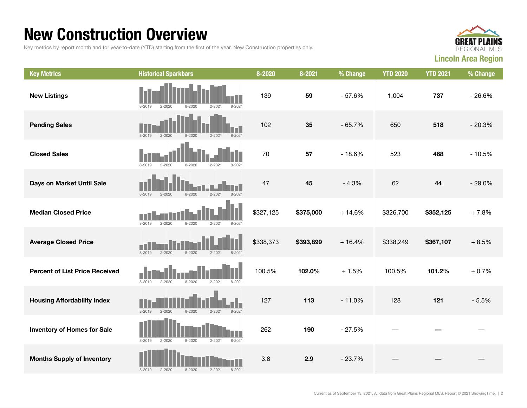### New Construction Overview

Key metrics by report month and for year-to-date (YTD) starting from the first of the year. New Construction properties only.



| <b>Key Metrics</b>                    | <b>Historical Sparkbars</b>                                        | 8-2020    | 8-2021    | % Change | <b>YTD 2020</b> | <b>YTD 2021</b> | % Change |
|---------------------------------------|--------------------------------------------------------------------|-----------|-----------|----------|-----------------|-----------------|----------|
| <b>New Listings</b>                   | 8-2019<br>$2 - 2020$<br>$8 - 2020$<br>$2 - 2021$<br>$8 - 202$      | 139       | 59        | $-57.6%$ | 1,004           | 737             | $-26.6%$ |
| <b>Pending Sales</b>                  | $8 - 2019$<br>$2 - 2020$<br>$8 - 2020$<br>$2 - 2021$<br>$8 - 2021$ | 102       | 35        | $-65.7%$ | 650             | 518             | $-20.3%$ |
| <b>Closed Sales</b>                   | $2 - 2020$<br>$8 - 2019$<br>$8 - 2020$<br>$2 - 2021$<br>$8 - 202$  | $70\,$    | 57        | $-18.6%$ | 523             | 468             | $-10.5%$ |
| Days on Market Until Sale             | $2 - 2021$<br>$8 - 2019$<br>$2 - 2020$<br>$8 - 2020$<br>$8 - 2021$ | 47        | 45        | $-4.3%$  | 62              | 44              | $-29.0%$ |
| <b>Median Closed Price</b>            | $8 - 2019$<br>$2 - 2020$<br>$8 - 2020$<br>$2 - 2021$<br>$8 - 2021$ | \$327,125 | \$375,000 | $+14.6%$ | \$326,700       | \$352,125       | $+7.8%$  |
| <b>Average Closed Price</b>           | $8 - 2019$<br>$2 - 2020$<br>$8 - 2020$<br>$2 - 2021$<br>$8 - 2021$ | \$338,373 | \$393,899 | $+16.4%$ | \$338,249       | \$367,107       | $+8.5%$  |
| <b>Percent of List Price Received</b> | $8 - 2019$<br>$2 - 2020$<br>$8 - 2020$<br>$2 - 2021$<br>$8 - 2021$ | 100.5%    | 102.0%    | $+1.5%$  | 100.5%          | 101.2%          | $+0.7%$  |
| <b>Housing Affordability Index</b>    | $8 - 2019$<br>$2 - 2020$<br>$8 - 2020$<br>$2 - 2021$<br>$8 - 2021$ | 127       | 113       | $-11.0%$ | 128             | 121             | $-5.5%$  |
| <b>Inventory of Homes for Sale</b>    | $8 - 2019$<br>$2 - 2020$<br>$8 - 2020$<br>$2 - 2021$<br>$8 - 2021$ | 262       | 190       | $-27.5%$ |                 |                 |          |
| <b>Months Supply of Inventory</b>     | $2 - 2020$<br>$2 - 2021$<br>$8 - 2019$<br>$8 - 2020$<br>$8 - 2021$ | 3.8       | 2.9       | $-23.7%$ |                 |                 |          |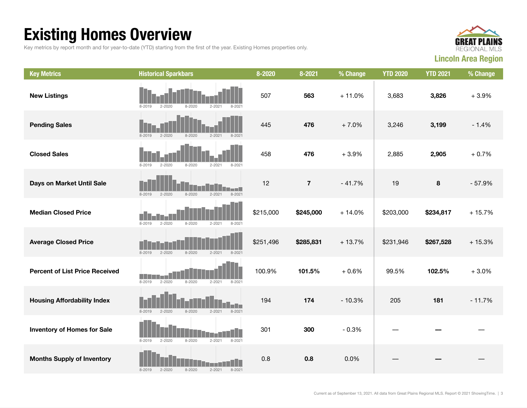## Existing Homes Overview

Key metrics by report month and for year-to-date (YTD) starting from the first of the year. Existing Homes properties only.



| <b>Key Metrics</b>                    | <b>Historical Sparkbars</b>                                                 | 8-2020    | 8-2021         | % Change | <b>YTD 2020</b> | <b>YTD 2021</b> | % Change |
|---------------------------------------|-----------------------------------------------------------------------------|-----------|----------------|----------|-----------------|-----------------|----------|
| <b>New Listings</b>                   | 8-2019<br>2-2020<br>8-2020<br>$2 - 2021$<br>$8 - 202$                       | 507       | 563            | $+11.0%$ | 3,683           | 3,826           | $+3.9%$  |
| <b>Pending Sales</b>                  | $8 - 2019$<br>$2 - 2020$<br>$8 - 2020$<br>$2 - 2021$<br>$8 - 2021$          | 445       | 476            | $+7.0%$  | 3,246           | 3,199           | $-1.4%$  |
| <b>Closed Sales</b>                   | $8 - 2019$<br>$2 - 2020$<br>8-2020<br>$2 - 2021$<br>$8 - 202$               | 458       | 476            | $+3.9%$  | 2,885           | 2,905           | $+0.7%$  |
| Days on Market Until Sale             | m a l<br>$8 - 2021$<br>$8 - 2019$<br>$2 - 2020$<br>$8 - 2020$<br>$2 - 2021$ | 12        | $\overline{7}$ | $-41.7%$ | 19              | 8               | $-57.9%$ |
| <b>Median Closed Price</b>            | $8 - 2019$<br>$2 - 2020$<br>$8 - 2020$<br>$2 - 2021$<br>$8 - 2021$          | \$215,000 | \$245,000      | $+14.0%$ | \$203,000       | \$234,817       | $+15.7%$ |
| <b>Average Closed Price</b>           | $8 - 2019$<br>$2 - 2020$<br>$8 - 2020$<br>$2 - 2021$<br>$8 - 2021$          | \$251,496 | \$285,831      | $+13.7%$ | \$231,946       | \$267,528       | $+15.3%$ |
| <b>Percent of List Price Received</b> | $2 - 2020$<br>$8 - 2019$<br>$8 - 2020$<br>$2 - 2021$<br>$8 - 2021$          | 100.9%    | 101.5%         | $+0.6%$  | 99.5%           | 102.5%          | $+3.0%$  |
| <b>Housing Affordability Index</b>    | $8 - 2019$<br>$2 - 2020$<br>$8 - 2020$<br>$2 - 2021$<br>$8 - 2021$          | 194       | 174            | $-10.3%$ | 205             | 181             | $-11.7%$ |
| <b>Inventory of Homes for Sale</b>    | $8 - 2019$<br>$2 - 2020$<br>$8 - 2020$<br>$2 - 2021$<br>$8 - 2021$          | 301       | 300            | $-0.3%$  |                 |                 |          |
| <b>Months Supply of Inventory</b>     | $8 - 2020$<br>$2 - 2021$<br>$8 - 2019$<br>$2 - 2020$<br>$8 - 2021$          | 0.8       | 0.8            | 0.0%     |                 |                 |          |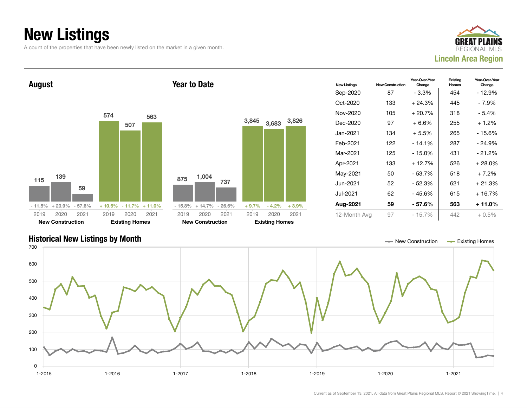## New Listings

A count of the properties that have been newly listed on the market in a given month.





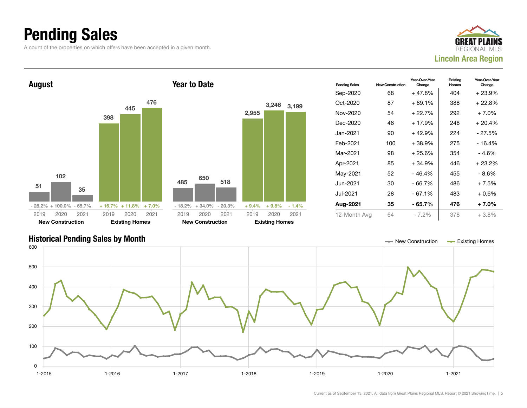### Pending Sales

A count of the properties on which offers have been accepted in a given month.





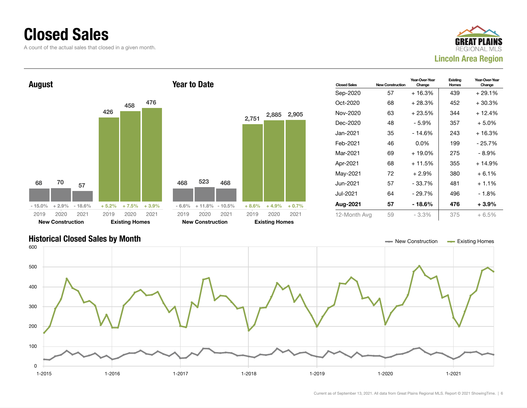#### Closed Sales

A count of the actual sales that closed in a given month.





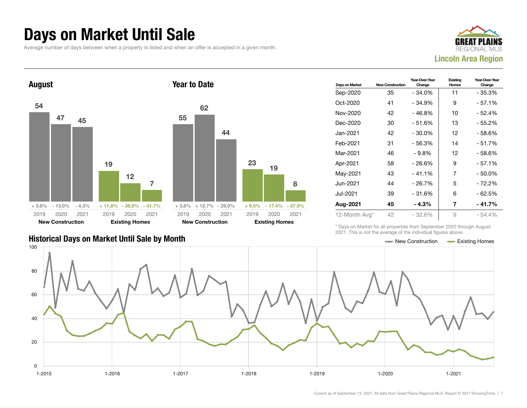#### Days on Market Until Sale

Average number of days between when a property is listed and when an offer is accepted in a given month.





#### Historical Days on Market Until Sale by Month New York New York New York New York New York New York New York New York New York New York New York New York New York New York New York New York New York New York New York New Y

| Days on Market | <b>New Construction</b> | Year-Over-Year<br>Change | Existing<br>Homes | Year-Over-Year<br>Change |
|----------------|-------------------------|--------------------------|-------------------|--------------------------|
| Sep-2020       | 35                      | $-34.0%$                 | 11                | - 35.3%                  |
| Oct-2020       | 41                      | $-34.9%$                 | 9                 | $-57.1%$                 |
| Nov-2020       | 42                      | $-46.8%$                 | 10                | $-52.4%$                 |
| Dec-2020       | 30                      | $-51.6%$                 | 13                | $-55.2%$                 |
| Jan-2021       | 42                      | $-30.0%$                 | 12                | - 58.6%                  |
| Feb-2021       | 31                      | $-56.3%$                 | 14                | - 51.7%                  |
| Mar-2021       | 46                      | $-9.8%$                  | 12                | - 58.6%                  |
| Apr-2021       | 58                      | $-26.6%$                 | 9                 | - 57.1%                  |
| May-2021       | 43                      | $-41.1%$                 | 7                 | - 50.0%                  |
| Jun-2021       | 44                      | $-26.7%$                 | 5                 | $-72.2%$                 |
| Jul-2021       | 39                      | $-31.6%$                 | 6                 | - 62.5%                  |
| Aug-2021       | 45                      | - 4.3%                   | 7                 | - 41.7%                  |
| 12-Month Avg*  | 42                      | - 32.6%                  | 9                 | $-54.4%$                 |

\* Days on Market for all properties from September 2020 through August 2021. This is not the average of the individual figures above.



8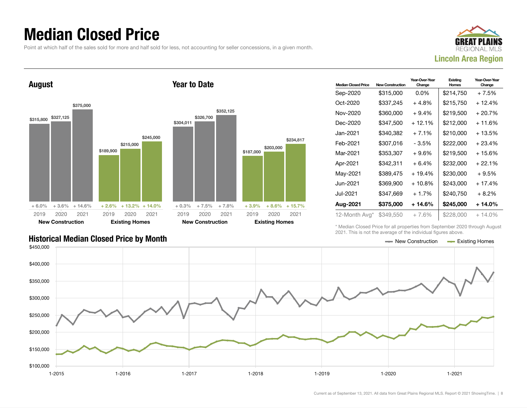### Median Closed Price

August

Point at which half of the sales sold for more and half sold for less, not accounting for seller concessions, in a given month.



Year to Date



| <b>Median Closed Price</b> | <b>New Construction</b> | Year-Over-Year<br>Change | Existing<br>Homes | Year-Over-Year<br>Change |
|----------------------------|-------------------------|--------------------------|-------------------|--------------------------|
| Sep-2020                   | \$315,000               | $0.0\%$                  | \$214,750         | $+7.5%$                  |
| Oct-2020                   | \$337,245               | $+4.8%$                  | \$215,750         | $+12.4%$                 |
| Nov-2020                   | \$360,000               | $+9.4%$                  | \$219,500         | $+20.7%$                 |
| Dec-2020                   | \$347,500               | $+12.1%$                 | \$212,000         | + 11.6%                  |
| Jan-2021.                  | \$340,382               | $+7.1%$                  | \$210,000         | + 13.5%                  |
| Feb-2021                   | \$307,016               | - 3.5%                   | \$222,000         | $+23.4%$                 |
| Mar-2021                   | \$353,307               | $+9.6%$                  | \$219,500         | + 15.6%                  |
| Apr-2021                   | \$342,311               | + 6.4%                   | \$232.000         | $+22.1\%$                |
| May-2021                   | \$389,475               | $+19.4%$                 | \$230,000         | $+9.5%$                  |
| Jun-2021 <b>.</b>          | \$369.900               | $+10.8%$                 | \$243.000         | $+17.4%$                 |
| Jul-2021.                  | \$347,669               | $+1.7%$                  | \$240.750         | $+8.2\%$                 |
| Aug-2021                   | \$375,000               | + 14.6%                  | \$245,000         | + 14.0%                  |
| 12-Month Avg*              | \$349,550               | $+7.6\%$                 | \$228,000         | $+14.0\%$                |

\* Median Closed Price for all properties from September 2020 through August 2021. This is not the average of the individual figures above.



\$234,817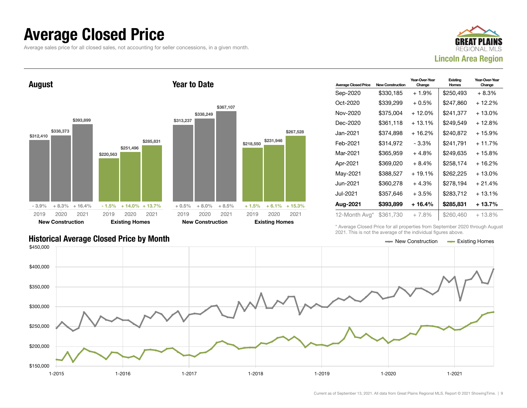#### Average Closed Price

Average sales price for all closed sales, not accounting for seller concessions, in a given month.



August





| <b>Average Closed Price</b> | <b>New Construction</b> | Year-Over-Year<br>Change | Existing<br><b>Homes</b> | Year-Over-Year<br>Change |
|-----------------------------|-------------------------|--------------------------|--------------------------|--------------------------|
| Sep-2020                    | \$330,185               | $+1.9%$                  | \$250,493                | $+8.3%$                  |
| Oct-2020                    | \$339,299               | $+0.5%$                  | \$247,860                | + 12.2%                  |
| Nov-2020                    | \$375,004               | $+12.0%$                 | \$241,377                | + 13.0%                  |
| Dec-2020                    | \$361,118               | $+13.1%$                 | \$249,549                | + 12.8%                  |
| Jan-2021                    | \$374,898               | $+16.2%$                 | \$240,872                | + 15.9%                  |
| Feb-2021                    | \$314,972               | - 3.3%                   | \$241,791                | + 11.7%                  |
| Mar-2021                    | \$365,959               | $+4.8%$                  | \$249,635                | + 15.8%                  |
| Apr-2021                    | \$369,020               | $+8.4%$                  | \$258,174                | + 16.2%                  |
| May-2021                    | \$388,527               | + 19.1%                  | \$262,225                | + 13.0%                  |
| Jun-2021                    | \$360,278               | $+4.3%$                  | \$278,194                | $+21.4%$                 |
| Jul-2021                    | \$357,646               | $+3.5%$                  | \$283,712                | + 13.1%                  |
| Aug-2021                    | \$393,899               | + 16.4%                  | \$285.831                | + 13.7%                  |
| 12-Month Avg*               | \$361,730               | $+7.8%$                  | \$260,460                | $+13.8\%$                |

\* Average Closed Price for all properties from September 2020 through August 2021. This is not the average of the individual figures above.

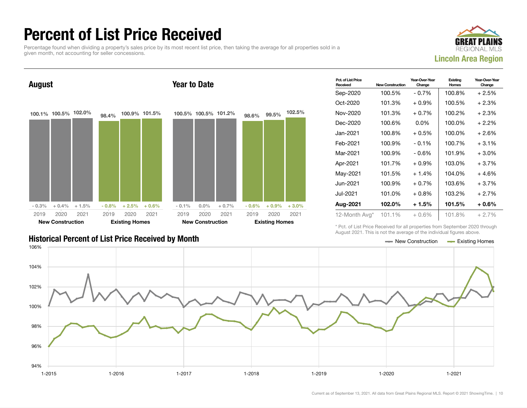### Percent of List Price Received

Percentage found when dividing a property's sales price by its most recent list price, then taking the average for all properties sold in a given month, not accounting for seller concessions.





| Pct. of List Price<br>Received | <b>New Construction</b> | Year-Over-Year<br>Change | Existing<br>Homes | Year-Over-Year<br>Change |
|--------------------------------|-------------------------|--------------------------|-------------------|--------------------------|
| Sep-2020                       | 100.5%                  | $-0.7%$                  | 100.8%            | + 2.5%                   |
| Oct-2020                       | 101.3%                  | + 0.9%                   | 100.5%            | + 2.3%                   |
| Nov-2020                       | 101.3%                  | $+0.7\%$                 | 100.2%            | + 2.3%                   |
| Dec-2020                       | 100.6%                  | $0.0\%$                  | 100.0%            | $+2.2%$                  |
| Jan-2021.                      | 100.8%                  | $+0.5\%$                 | 100.0%            | + 2.6%                   |
| Feb-2021                       | 100.9%                  | $-0.1\%$                 | 100.7%            | $+3.1%$                  |
| Mar-2021                       | 100.9%                  | - 0.6%                   | 101.9%            | $+3.0\%$                 |
| Apr-2021                       | 101.7%                  | $+0.9\%$                 | 103.0%            | + 3.7%                   |
| May-2021                       | 101.5%                  | $+1.4%$                  | 104.0%            | + 4.6%                   |
| Jun-2021                       | 100.9%                  | $+0.7\%$                 | 103.6%            | + 3.7%                   |
| Jul-2021                       | 101.0%                  | $+0.8\%$                 | 103.2%            | + 2.7%                   |
| Aug-2021                       | 102.0%                  | $+1.5%$                  | 101.5%            | + 0.6%                   |
| 12-Month Avg*                  | 101.1%                  | $+0.6\%$                 | 101.8%            | + 2.7%                   |

\* Pct. of List Price Received for all properties from September 2020 through August 2021. This is not the average of the individual figures above.



#### Historical Percent of List Price Received by Month New Construction Existing Homes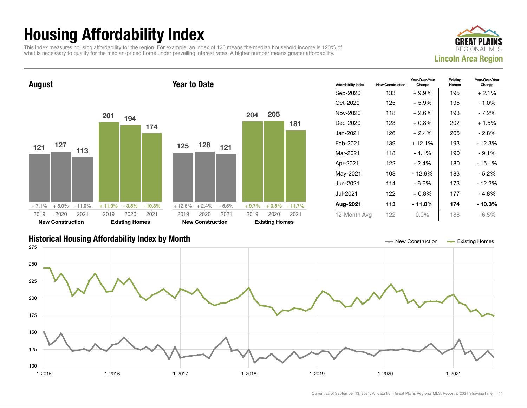## Housing Affordability Index

This index measures housing affordability for the region. For example, an index of 120 means the median household income is 120% of what is necessary to qualify for the median-priced home under prevailing interest rates. A higher number means greater affordability.



August 121 127 113 + 7.1% + 5.0% - 11.0% 201 194 174 + 11.0% - 3.5% - 10.3% 2019 New Construction 2020 2021 2019 Existing Homes 2020 2021 Year to Date 125 128 121  $+ 12.6\% + 2.4\% - 5.5\%$ 204 205 181 + 9.7% + 0.5% - 11.7% 2019 New Construction 2020 2021 2019 Existing Homes 2020 2021

| <b>Affordability Index</b> | <b>New Construction</b> | Year-Over-Year<br>Change | Existing<br>Homes | Year-Over-Year<br>Change |
|----------------------------|-------------------------|--------------------------|-------------------|--------------------------|
| Sep-2020                   | 133                     | $+9.9\%$                 | 195               | $+2.1%$                  |
| $Oct-2020$                 | 125                     | $+5.9%$                  | 195               | $-1.0%$                  |
| Nov-2020                   | 118                     | $+2.6\%$                 | 193               | - 7.2%                   |
| Dec-2020                   | 123                     | $+0.8%$                  | 202               | $+1.5%$                  |
| Jan-2021.                  | 126                     | $+2.4%$                  | 205               | - 2.8%                   |
| Feb-2021                   | 139                     | $+12.1%$                 | 193               | - 12.3%                  |
| Mar-2021                   | 118                     | $-4.1%$                  | 190               | $-9.1%$                  |
| Apr-2021                   | 122                     | $-2.4%$                  | 180               | $-15.1%$                 |
| May-2021                   | 108                     | - 12.9%                  | 183               | - 5.2%                   |
| Jun-2021.                  | 114                     | - 6.6%                   | 173               | $-12.2%$                 |
| Jul-2021.                  | 122                     | $+0.8\%$                 | 177               | - 4.8%                   |
| Aug-2021                   | 113                     | - 11.0%                  | 174               | - 10.3%                  |
| 12-Month Avg               | 122                     | $0.0\%$                  | 188               | $-6.5%$                  |

#### Historical Housing Affordability Index by Month New Construction Existing Homes

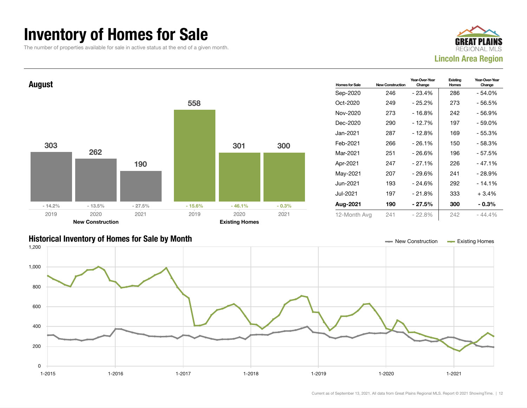### Inventory of Homes for Sale

The number of properties available for sale in active status at the end of a given month.







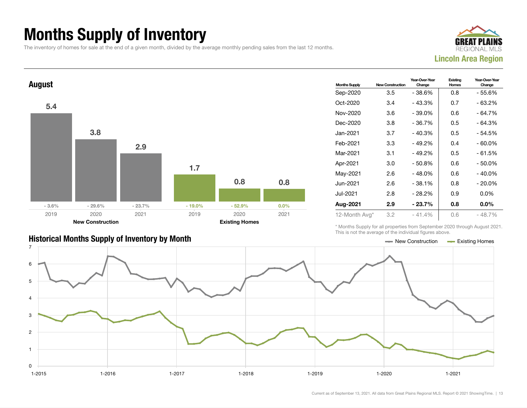## Months Supply of Inventory

The inventory of homes for sale at the end of a given month, divided by the average monthly pending sales from the last 12 months.





| <b>Months Supply</b> | <b>New Construction</b> | Year-Over-Year<br>Change | Existing<br>Homes | Year-Over-Year<br>Change |
|----------------------|-------------------------|--------------------------|-------------------|--------------------------|
| Sep-2020             | 3.5                     | $-38.6%$                 | 0.8               | $-55.6%$                 |
| $Oct-2020$           | 3.4                     | $-43.3%$                 | 0.7               | $-63.2%$                 |
| Nov-2020             | 3.6                     | $-39.0%$                 | 0.6               | - 64.7%                  |
| Dec-2020             | 3.8                     | $-36.7%$                 | 0.5               | $-64.3%$                 |
| Jan-2021.            | 3.7                     | $-40.3%$                 | 0.5               | - 54.5%                  |
| Feb-2021             | 3.3                     | - 49.2%                  | 0.4               | $-60.0\%$                |
| Mar-2021             | 3.1                     | $-49.2%$                 | 0.5               | $-61.5%$                 |
| Apr-2021             | 3.0                     | $-50.8%$                 | 0.6               | $-50.0\%$                |
| May-2021             | 2.6                     | $-48.0%$                 | 0.6               | $-40.0\%$                |
| Jun-2021 <b>.</b>    | 2.6                     | $-38.1%$                 | 0.8               | $-20.0%$                 |
| Jul-2021             | 2.8                     | $-28.2%$                 | 0.9               | $0.0\%$                  |
| Aug-2021             | 2.9                     | $-23.7%$                 | 0.8               | $0.0\%$                  |
| 12-Month Avg*        | 3.2                     | $-41.4%$                 | 0.6               | $-48.7%$                 |

\* Months Supply for all properties from September 2020 through August 2021. This is not the average of the individual figures above.